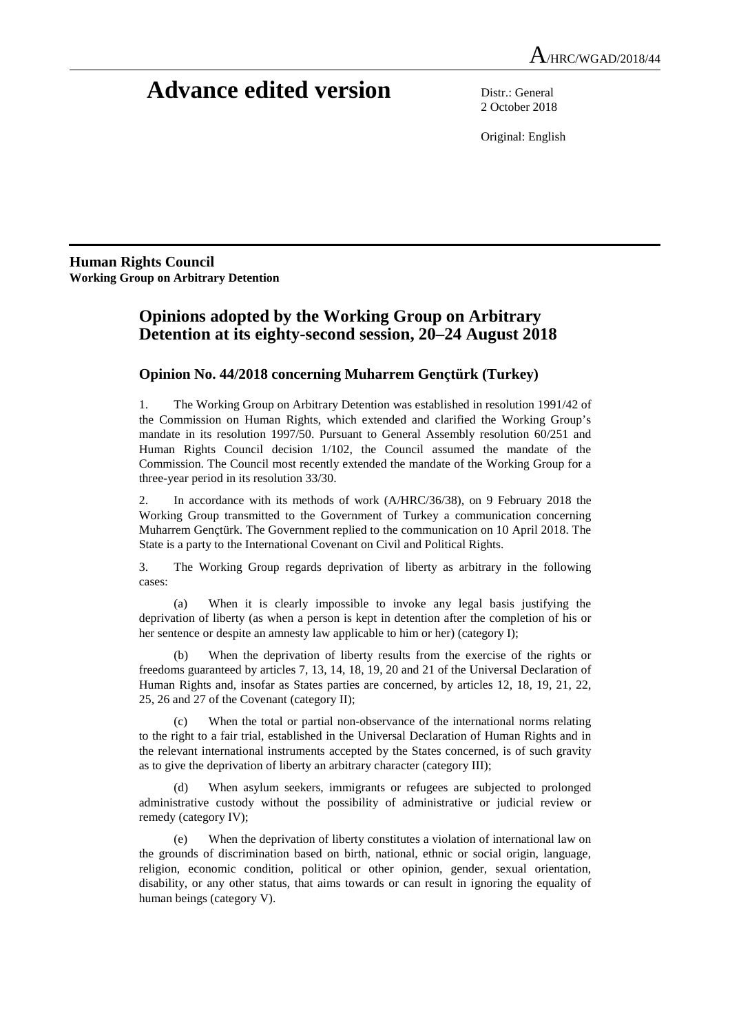# **Advance edited version** Distr.: General

2 October 2018

Original: English

**Human Rights Council Working Group on Arbitrary Detention** 

# **Opinions adopted by the Working Group on Arbitrary Detention at its eighty-second session, 20–24 August 2018**

## **Opinion No. 44/2018 concerning Muharrem Gençtürk (Turkey)**

1. The Working Group on Arbitrary Detention was established in resolution 1991/42 of the Commission on Human Rights, which extended and clarified the Working Group's mandate in its resolution 1997/50. Pursuant to General Assembly resolution 60/251 and Human Rights Council decision 1/102, the Council assumed the mandate of the Commission. The Council most recently extended the mandate of the Working Group for a three-year period in its resolution 33/30.

2. In accordance with its methods of work (A/HRC/36/38), on 9 February 2018 the Working Group transmitted to the Government of Turkey a communication concerning Muharrem Gençtürk. The Government replied to the communication on 10 April 2018. The State is a party to the International Covenant on Civil and Political Rights.

3. The Working Group regards deprivation of liberty as arbitrary in the following cases:

 (a) When it is clearly impossible to invoke any legal basis justifying the deprivation of liberty (as when a person is kept in detention after the completion of his or her sentence or despite an amnesty law applicable to him or her) (category I);

 (b) When the deprivation of liberty results from the exercise of the rights or freedoms guaranteed by articles 7, 13, 14, 18, 19, 20 and 21 of the Universal Declaration of Human Rights and, insofar as States parties are concerned, by articles 12, 18, 19, 21, 22, 25, 26 and 27 of the Covenant (category II);

 (c) When the total or partial non-observance of the international norms relating to the right to a fair trial, established in the Universal Declaration of Human Rights and in the relevant international instruments accepted by the States concerned, is of such gravity as to give the deprivation of liberty an arbitrary character (category III);

When asylum seekers, immigrants or refugees are subjected to prolonged administrative custody without the possibility of administrative or judicial review or remedy (category IV);

 (e) When the deprivation of liberty constitutes a violation of international law on the grounds of discrimination based on birth, national, ethnic or social origin, language, religion, economic condition, political or other opinion, gender, sexual orientation, disability, or any other status, that aims towards or can result in ignoring the equality of human beings (category V).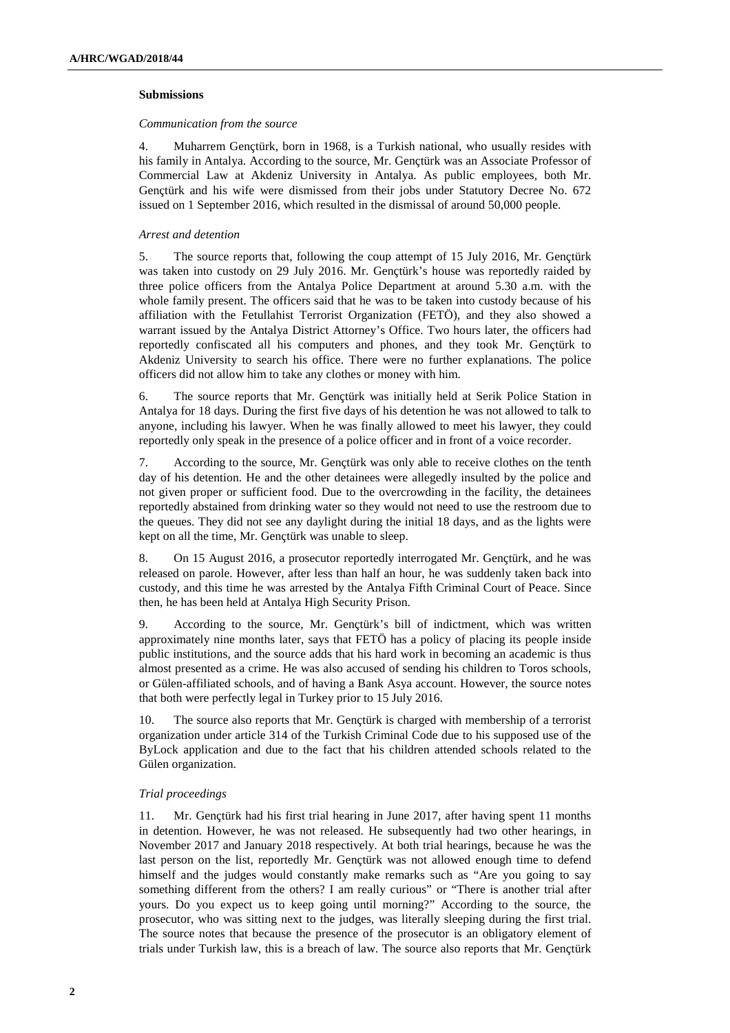#### **Submissions**

#### *Communication from the source*

4. Muharrem Gençtürk, born in 1968, is a Turkish national, who usually resides with his family in Antalya. According to the source, Mr. Gençtürk was an Associate Professor of Commercial Law at Akdeniz University in Antalya. As public employees, both Mr. Gençtürk and his wife were dismissed from their jobs under Statutory Decree No. 672 issued on 1 September 2016, which resulted in the dismissal of around 50,000 people.

#### *Arrest and detention*

5. The source reports that, following the coup attempt of 15 July 2016, Mr. Gençtürk was taken into custody on 29 July 2016. Mr. Gençtürk's house was reportedly raided by three police officers from the Antalya Police Department at around 5.30 a.m. with the whole family present. The officers said that he was to be taken into custody because of his affiliation with the Fetullahist Terrorist Organization (FETÖ), and they also showed a warrant issued by the Antalya District Attorney's Office. Two hours later, the officers had reportedly confiscated all his computers and phones, and they took Mr. Gençtürk to Akdeniz University to search his office. There were no further explanations. The police officers did not allow him to take any clothes or money with him.

6. The source reports that Mr. Gençtürk was initially held at Serik Police Station in Antalya for 18 days. During the first five days of his detention he was not allowed to talk to anyone, including his lawyer. When he was finally allowed to meet his lawyer, they could reportedly only speak in the presence of a police officer and in front of a voice recorder.

7. According to the source, Mr. Gençtürk was only able to receive clothes on the tenth day of his detention. He and the other detainees were allegedly insulted by the police and not given proper or sufficient food. Due to the overcrowding in the facility, the detainees reportedly abstained from drinking water so they would not need to use the restroom due to the queues. They did not see any daylight during the initial 18 days, and as the lights were kept on all the time, Mr. Gençtürk was unable to sleep.

8. On 15 August 2016, a prosecutor reportedly interrogated Mr. Gençtürk, and he was released on parole. However, after less than half an hour, he was suddenly taken back into custody, and this time he was arrested by the Antalya Fifth Criminal Court of Peace. Since then, he has been held at Antalya High Security Prison.

9. According to the source, Mr. Gençtürk's bill of indictment, which was written approximately nine months later, says that FETÖ has a policy of placing its people inside public institutions, and the source adds that his hard work in becoming an academic is thus almost presented as a crime. He was also accused of sending his children to Toros schools, or Gülen-affiliated schools, and of having a Bank Asya account. However, the source notes that both were perfectly legal in Turkey prior to 15 July 2016.

10. The source also reports that Mr. Gençtürk is charged with membership of a terrorist organization under article 314 of the Turkish Criminal Code due to his supposed use of the ByLock application and due to the fact that his children attended schools related to the Gülen organization.

#### *Trial proceedings*

11. Mr. Gençtürk had his first trial hearing in June 2017, after having spent 11 months in detention. However, he was not released. He subsequently had two other hearings, in November 2017 and January 2018 respectively. At both trial hearings, because he was the last person on the list, reportedly Mr. Gençtürk was not allowed enough time to defend himself and the judges would constantly make remarks such as "Are you going to say something different from the others? I am really curious" or "There is another trial after yours. Do you expect us to keep going until morning?" According to the source, the prosecutor, who was sitting next to the judges, was literally sleeping during the first trial. The source notes that because the presence of the prosecutor is an obligatory element of trials under Turkish law, this is a breach of law. The source also reports that Mr. Gençtürk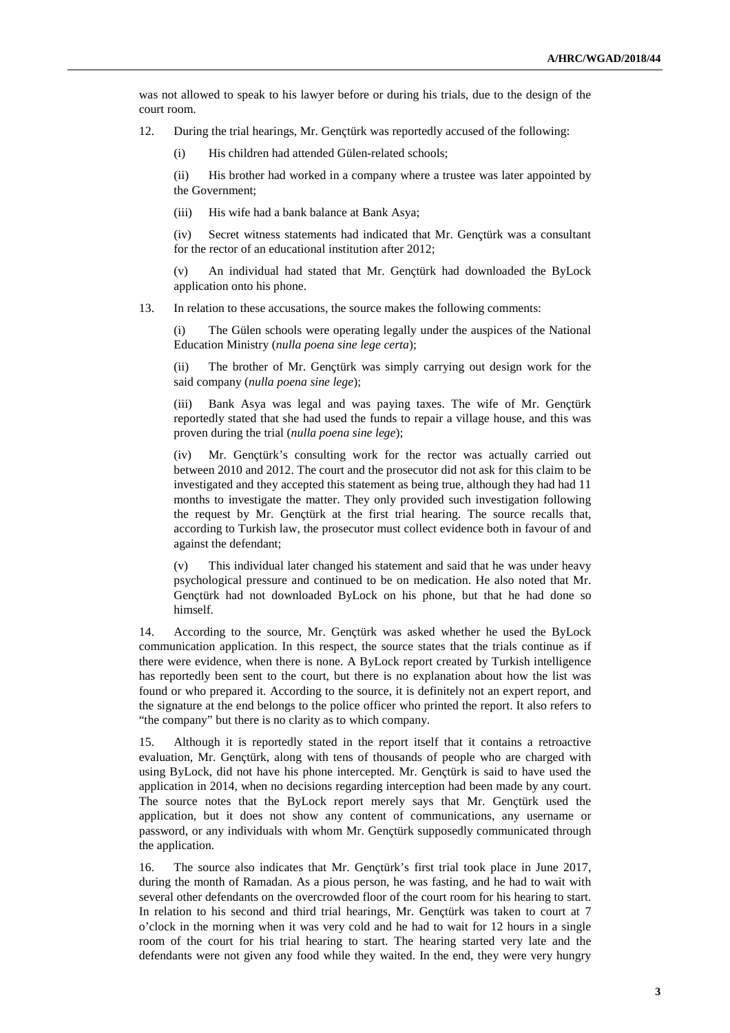was not allowed to speak to his lawyer before or during his trials, due to the design of the court room.

12. During the trial hearings, Mr. Gençtürk was reportedly accused of the following:

(i) His children had attended Gülen-related schools;

(ii) His brother had worked in a company where a trustee was later appointed by the Government;

(iii) His wife had a bank balance at Bank Asya;

(iv) Secret witness statements had indicated that Mr. Gençtürk was a consultant for the rector of an educational institution after 2012;

An individual had stated that Mr. Genctürk had downloaded the ByLock application onto his phone.

13. In relation to these accusations, the source makes the following comments:

The Gülen schools were operating legally under the auspices of the National Education Ministry (*nulla poena sine lege certa*);

(ii) The brother of Mr. Gençtürk was simply carrying out design work for the said company (*nulla poena sine lege*);

(iii) Bank Asya was legal and was paying taxes. The wife of Mr. Gençtürk reportedly stated that she had used the funds to repair a village house, and this was proven during the trial (*nulla poena sine lege*);

(iv) Mr. Gençtürk's consulting work for the rector was actually carried out between 2010 and 2012. The court and the prosecutor did not ask for this claim to be investigated and they accepted this statement as being true, although they had had 11 months to investigate the matter. They only provided such investigation following the request by Mr. Gençtürk at the first trial hearing. The source recalls that, according to Turkish law, the prosecutor must collect evidence both in favour of and against the defendant;

(v) This individual later changed his statement and said that he was under heavy psychological pressure and continued to be on medication. He also noted that Mr. Gençtürk had not downloaded ByLock on his phone, but that he had done so himself.

14. According to the source, Mr. Gençtürk was asked whether he used the ByLock communication application. In this respect, the source states that the trials continue as if there were evidence, when there is none. A ByLock report created by Turkish intelligence has reportedly been sent to the court, but there is no explanation about how the list was found or who prepared it. According to the source, it is definitely not an expert report, and the signature at the end belongs to the police officer who printed the report. It also refers to "the company" but there is no clarity as to which company.

15. Although it is reportedly stated in the report itself that it contains a retroactive evaluation, Mr. Gençtürk, along with tens of thousands of people who are charged with using ByLock, did not have his phone intercepted. Mr. Gençtürk is said to have used the application in 2014, when no decisions regarding interception had been made by any court. The source notes that the ByLock report merely says that Mr. Gençtürk used the application, but it does not show any content of communications, any username or password, or any individuals with whom Mr. Gençtürk supposedly communicated through the application.

16. The source also indicates that Mr. Gençtürk's first trial took place in June 2017, during the month of Ramadan. As a pious person, he was fasting, and he had to wait with several other defendants on the overcrowded floor of the court room for his hearing to start. In relation to his second and third trial hearings, Mr. Gençtürk was taken to court at 7 o'clock in the morning when it was very cold and he had to wait for 12 hours in a single room of the court for his trial hearing to start. The hearing started very late and the defendants were not given any food while they waited. In the end, they were very hungry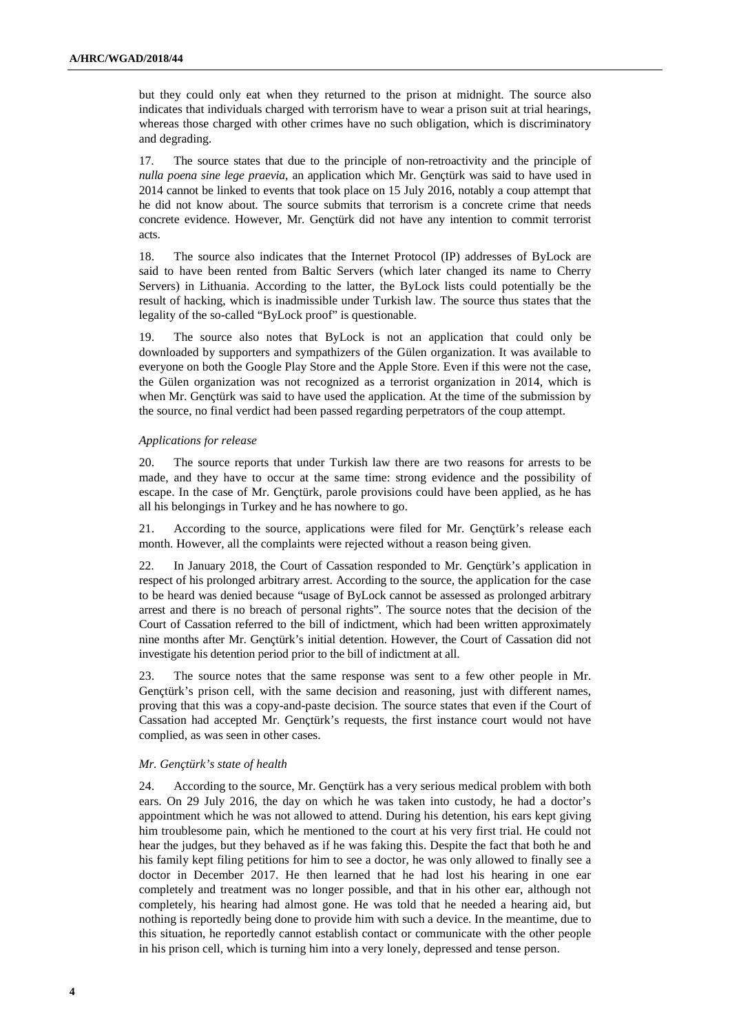but they could only eat when they returned to the prison at midnight. The source also indicates that individuals charged with terrorism have to wear a prison suit at trial hearings, whereas those charged with other crimes have no such obligation, which is discriminatory and degrading.

17. The source states that due to the principle of non-retroactivity and the principle of *nulla poena sine lege praevia*, an application which Mr. Gençtürk was said to have used in 2014 cannot be linked to events that took place on 15 July 2016, notably a coup attempt that he did not know about. The source submits that terrorism is a concrete crime that needs concrete evidence. However, Mr. Gençtürk did not have any intention to commit terrorist acts.

18. The source also indicates that the Internet Protocol (IP) addresses of ByLock are said to have been rented from Baltic Servers (which later changed its name to Cherry Servers) in Lithuania. According to the latter, the ByLock lists could potentially be the result of hacking, which is inadmissible under Turkish law. The source thus states that the legality of the so-called "ByLock proof" is questionable.

19. The source also notes that ByLock is not an application that could only be downloaded by supporters and sympathizers of the Gülen organization. It was available to everyone on both the Google Play Store and the Apple Store. Even if this were not the case, the Gülen organization was not recognized as a terrorist organization in 2014, which is when Mr. Gençtürk was said to have used the application. At the time of the submission by the source, no final verdict had been passed regarding perpetrators of the coup attempt.

#### *Applications for release*

20. The source reports that under Turkish law there are two reasons for arrests to be made, and they have to occur at the same time: strong evidence and the possibility of escape. In the case of Mr. Gençtürk, parole provisions could have been applied, as he has all his belongings in Turkey and he has nowhere to go.

21. According to the source, applications were filed for Mr. Gençtürk's release each month. However, all the complaints were rejected without a reason being given.

22. In January 2018, the Court of Cassation responded to Mr. Gençtürk's application in respect of his prolonged arbitrary arrest. According to the source, the application for the case to be heard was denied because "usage of ByLock cannot be assessed as prolonged arbitrary arrest and there is no breach of personal rights". The source notes that the decision of the Court of Cassation referred to the bill of indictment, which had been written approximately nine months after Mr. Gençtürk's initial detention. However, the Court of Cassation did not investigate his detention period prior to the bill of indictment at all.

23. The source notes that the same response was sent to a few other people in Mr. Gençtürk's prison cell, with the same decision and reasoning, just with different names, proving that this was a copy-and-paste decision. The source states that even if the Court of Cassation had accepted Mr. Gençtürk's requests, the first instance court would not have complied, as was seen in other cases.

#### *Mr. Gençtürk's state of health*

24. According to the source, Mr. Gençtürk has a very serious medical problem with both ears. On 29 July 2016, the day on which he was taken into custody, he had a doctor's appointment which he was not allowed to attend. During his detention, his ears kept giving him troublesome pain, which he mentioned to the court at his very first trial. He could not hear the judges, but they behaved as if he was faking this. Despite the fact that both he and his family kept filing petitions for him to see a doctor, he was only allowed to finally see a doctor in December 2017. He then learned that he had lost his hearing in one ear completely and treatment was no longer possible, and that in his other ear, although not completely, his hearing had almost gone. He was told that he needed a hearing aid, but nothing is reportedly being done to provide him with such a device. In the meantime, due to this situation, he reportedly cannot establish contact or communicate with the other people in his prison cell, which is turning him into a very lonely, depressed and tense person.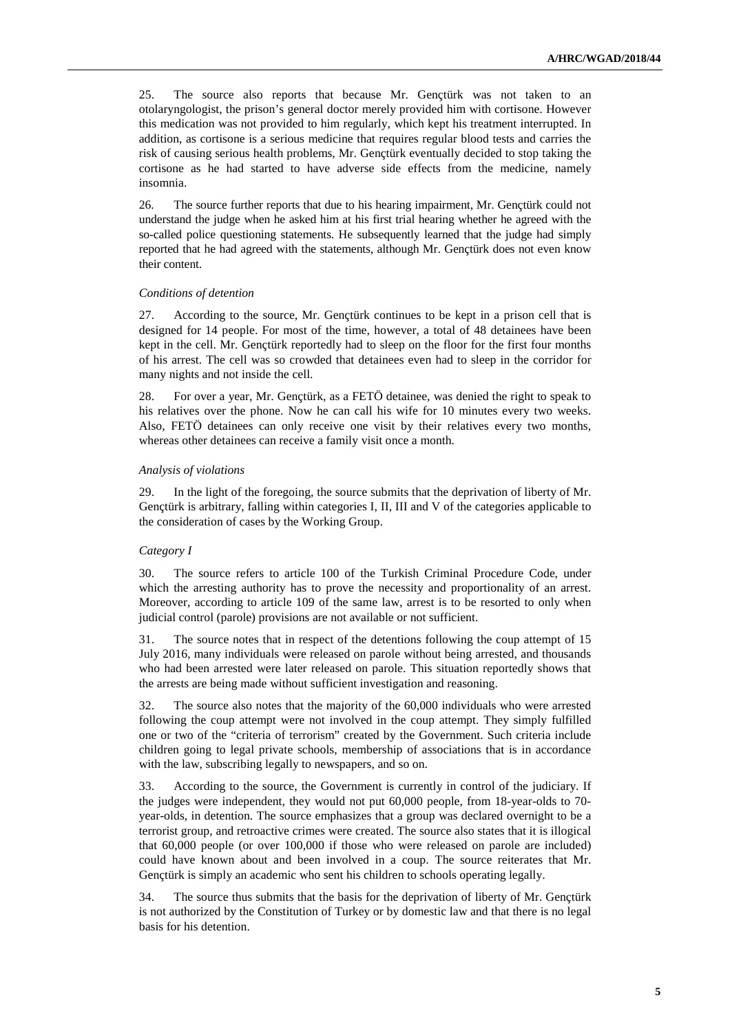25. The source also reports that because Mr. Gençtürk was not taken to an otolaryngologist, the prison's general doctor merely provided him with cortisone. However this medication was not provided to him regularly, which kept his treatment interrupted. In addition, as cortisone is a serious medicine that requires regular blood tests and carries the risk of causing serious health problems, Mr. Gençtürk eventually decided to stop taking the cortisone as he had started to have adverse side effects from the medicine, namely insomnia.

26. The source further reports that due to his hearing impairment, Mr. Gençtürk could not understand the judge when he asked him at his first trial hearing whether he agreed with the so-called police questioning statements. He subsequently learned that the judge had simply reported that he had agreed with the statements, although Mr. Gençtürk does not even know their content.

#### *Conditions of detention*

27. According to the source, Mr. Gençtürk continues to be kept in a prison cell that is designed for 14 people. For most of the time, however, a total of 48 detainees have been kept in the cell. Mr. Gençtürk reportedly had to sleep on the floor for the first four months of his arrest. The cell was so crowded that detainees even had to sleep in the corridor for many nights and not inside the cell.

28. For over a year, Mr. Gençtürk, as a FETÖ detainee, was denied the right to speak to his relatives over the phone. Now he can call his wife for 10 minutes every two weeks. Also, FETÖ detainees can only receive one visit by their relatives every two months, whereas other detainees can receive a family visit once a month.

#### *Analysis of violations*

29. In the light of the foregoing, the source submits that the deprivation of liberty of Mr. Gençtürk is arbitrary, falling within categories I, II, III and V of the categories applicable to the consideration of cases by the Working Group.

#### *Category I*

30. The source refers to article 100 of the Turkish Criminal Procedure Code, under which the arresting authority has to prove the necessity and proportionality of an arrest. Moreover, according to article 109 of the same law, arrest is to be resorted to only when judicial control (parole) provisions are not available or not sufficient.

31. The source notes that in respect of the detentions following the coup attempt of 15 July 2016, many individuals were released on parole without being arrested, and thousands who had been arrested were later released on parole. This situation reportedly shows that the arrests are being made without sufficient investigation and reasoning.

32. The source also notes that the majority of the 60,000 individuals who were arrested following the coup attempt were not involved in the coup attempt. They simply fulfilled one or two of the "criteria of terrorism" created by the Government. Such criteria include children going to legal private schools, membership of associations that is in accordance with the law, subscribing legally to newspapers, and so on.

33. According to the source, the Government is currently in control of the judiciary. If the judges were independent, they would not put 60,000 people, from 18-year-olds to 70 year-olds, in detention. The source emphasizes that a group was declared overnight to be a terrorist group, and retroactive crimes were created. The source also states that it is illogical that 60,000 people (or over 100,000 if those who were released on parole are included) could have known about and been involved in a coup. The source reiterates that Mr. Gençtürk is simply an academic who sent his children to schools operating legally.

34. The source thus submits that the basis for the deprivation of liberty of Mr. Gençtürk is not authorized by the Constitution of Turkey or by domestic law and that there is no legal basis for his detention.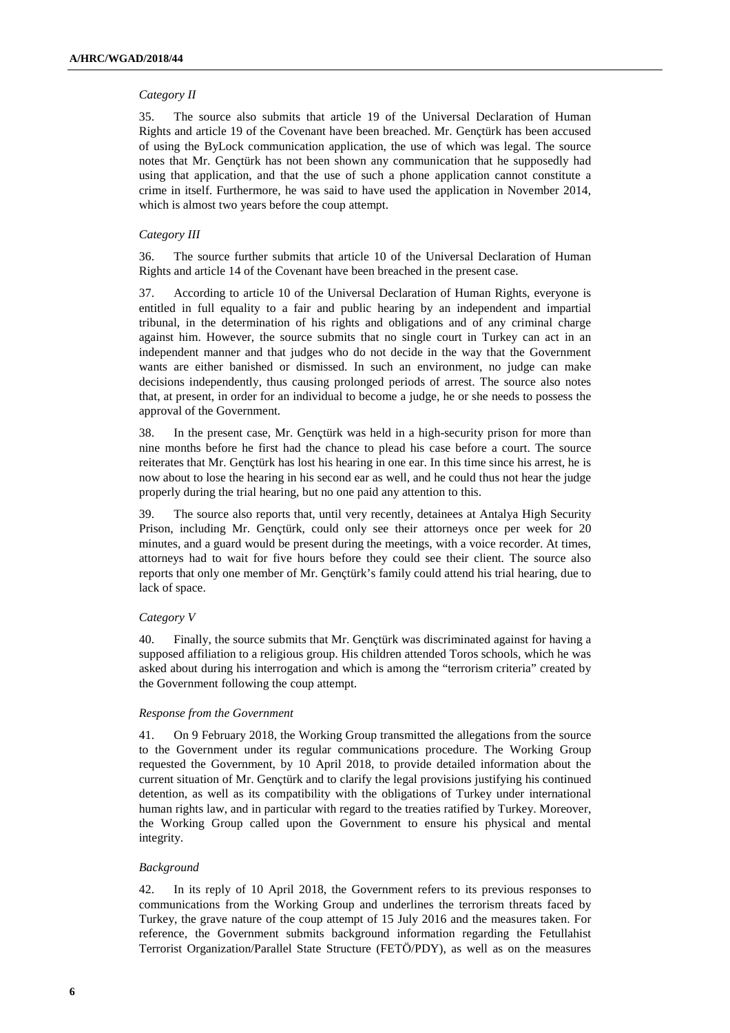#### *Category II*

35. The source also submits that article 19 of the Universal Declaration of Human Rights and article 19 of the Covenant have been breached. Mr. Gençtürk has been accused of using the ByLock communication application, the use of which was legal. The source notes that Mr. Gençtürk has not been shown any communication that he supposedly had using that application, and that the use of such a phone application cannot constitute a crime in itself. Furthermore, he was said to have used the application in November 2014, which is almost two years before the coup attempt.

#### *Category III*

36. The source further submits that article 10 of the Universal Declaration of Human Rights and article 14 of the Covenant have been breached in the present case.

37. According to article 10 of the Universal Declaration of Human Rights, everyone is entitled in full equality to a fair and public hearing by an independent and impartial tribunal, in the determination of his rights and obligations and of any criminal charge against him. However, the source submits that no single court in Turkey can act in an independent manner and that judges who do not decide in the way that the Government wants are either banished or dismissed. In such an environment, no judge can make decisions independently, thus causing prolonged periods of arrest. The source also notes that, at present, in order for an individual to become a judge, he or she needs to possess the approval of the Government.

38. In the present case, Mr. Gençtürk was held in a high-security prison for more than nine months before he first had the chance to plead his case before a court. The source reiterates that Mr. Gençtürk has lost his hearing in one ear. In this time since his arrest, he is now about to lose the hearing in his second ear as well, and he could thus not hear the judge properly during the trial hearing, but no one paid any attention to this.

39. The source also reports that, until very recently, detainees at Antalya High Security Prison, including Mr. Gençtürk, could only see their attorneys once per week for 20 minutes, and a guard would be present during the meetings, with a voice recorder. At times, attorneys had to wait for five hours before they could see their client. The source also reports that only one member of Mr. Gençtürk's family could attend his trial hearing, due to lack of space.

#### *Category V*

40. Finally, the source submits that Mr. Gençtürk was discriminated against for having a supposed affiliation to a religious group. His children attended Toros schools, which he was asked about during his interrogation and which is among the "terrorism criteria" created by the Government following the coup attempt.

#### *Response from the Government*

41. On 9 February 2018, the Working Group transmitted the allegations from the source to the Government under its regular communications procedure. The Working Group requested the Government, by 10 April 2018, to provide detailed information about the current situation of Mr. Gençtürk and to clarify the legal provisions justifying his continued detention, as well as its compatibility with the obligations of Turkey under international human rights law, and in particular with regard to the treaties ratified by Turkey. Moreover, the Working Group called upon the Government to ensure his physical and mental integrity.

### *Background*

42. In its reply of 10 April 2018, the Government refers to its previous responses to communications from the Working Group and underlines the terrorism threats faced by Turkey, the grave nature of the coup attempt of 15 July 2016 and the measures taken. For reference, the Government submits background information regarding the Fetullahist Terrorist Organization/Parallel State Structure (FETÖ/PDY), as well as on the measures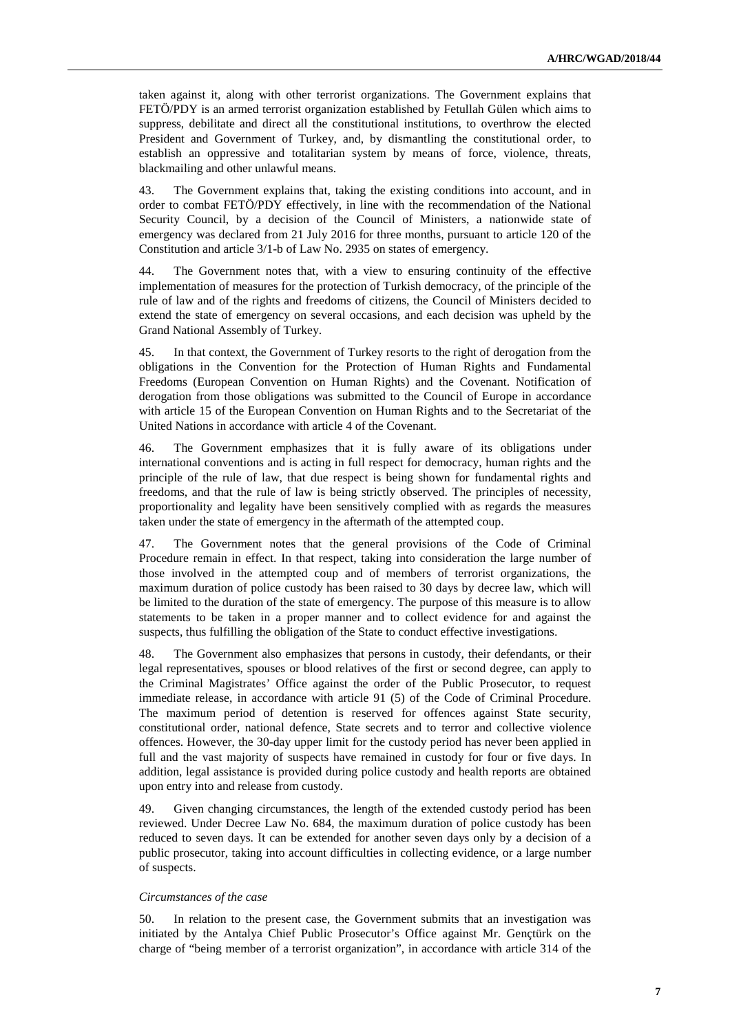taken against it, along with other terrorist organizations. The Government explains that FETÖ/PDY is an armed terrorist organization established by Fetullah Gülen which aims to suppress, debilitate and direct all the constitutional institutions, to overthrow the elected President and Government of Turkey, and, by dismantling the constitutional order, to establish an oppressive and totalitarian system by means of force, violence, threats, blackmailing and other unlawful means.

43. The Government explains that, taking the existing conditions into account, and in order to combat FETÖ/PDY effectively, in line with the recommendation of the National Security Council, by a decision of the Council of Ministers, a nationwide state of emergency was declared from 21 July 2016 for three months, pursuant to article 120 of the Constitution and article 3/1-b of Law No. 2935 on states of emergency.

44. The Government notes that, with a view to ensuring continuity of the effective implementation of measures for the protection of Turkish democracy, of the principle of the rule of law and of the rights and freedoms of citizens, the Council of Ministers decided to extend the state of emergency on several occasions, and each decision was upheld by the Grand National Assembly of Turkey.

45. In that context, the Government of Turkey resorts to the right of derogation from the obligations in the Convention for the Protection of Human Rights and Fundamental Freedoms (European Convention on Human Rights) and the Covenant. Notification of derogation from those obligations was submitted to the Council of Europe in accordance with article 15 of the European Convention on Human Rights and to the Secretariat of the United Nations in accordance with article 4 of the Covenant.

46. The Government emphasizes that it is fully aware of its obligations under international conventions and is acting in full respect for democracy, human rights and the principle of the rule of law, that due respect is being shown for fundamental rights and freedoms, and that the rule of law is being strictly observed. The principles of necessity, proportionality and legality have been sensitively complied with as regards the measures taken under the state of emergency in the aftermath of the attempted coup.

47. The Government notes that the general provisions of the Code of Criminal Procedure remain in effect. In that respect, taking into consideration the large number of those involved in the attempted coup and of members of terrorist organizations, the maximum duration of police custody has been raised to 30 days by decree law, which will be limited to the duration of the state of emergency. The purpose of this measure is to allow statements to be taken in a proper manner and to collect evidence for and against the suspects, thus fulfilling the obligation of the State to conduct effective investigations.

48. The Government also emphasizes that persons in custody, their defendants, or their legal representatives, spouses or blood relatives of the first or second degree, can apply to the Criminal Magistrates' Office against the order of the Public Prosecutor, to request immediate release, in accordance with article 91 (5) of the Code of Criminal Procedure. The maximum period of detention is reserved for offences against State security, constitutional order, national defence, State secrets and to terror and collective violence offences. However, the 30-day upper limit for the custody period has never been applied in full and the vast majority of suspects have remained in custody for four or five days. In addition, legal assistance is provided during police custody and health reports are obtained upon entry into and release from custody.

49. Given changing circumstances, the length of the extended custody period has been reviewed. Under Decree Law No. 684, the maximum duration of police custody has been reduced to seven days. It can be extended for another seven days only by a decision of a public prosecutor, taking into account difficulties in collecting evidence, or a large number of suspects.

#### *Circumstances of the case*

50. In relation to the present case, the Government submits that an investigation was initiated by the Antalya Chief Public Prosecutor's Office against Mr. Gençtürk on the charge of "being member of a terrorist organization", in accordance with article 314 of the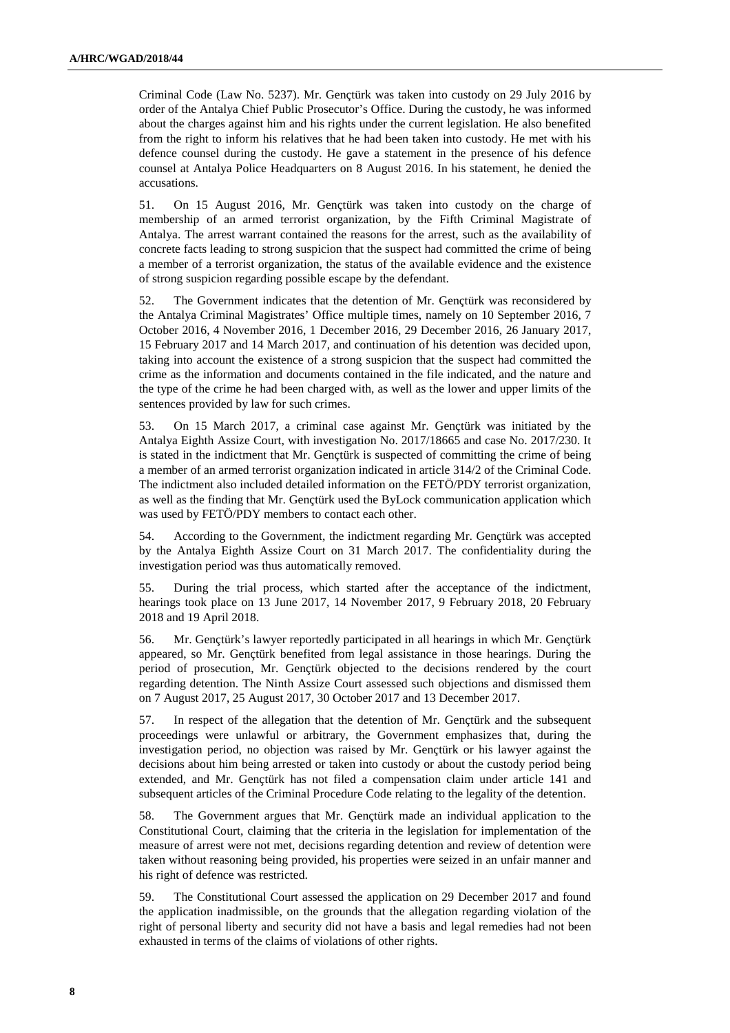Criminal Code (Law No. 5237). Mr. Gençtürk was taken into custody on 29 July 2016 by order of the Antalya Chief Public Prosecutor's Office. During the custody, he was informed about the charges against him and his rights under the current legislation. He also benefited from the right to inform his relatives that he had been taken into custody. He met with his defence counsel during the custody. He gave a statement in the presence of his defence counsel at Antalya Police Headquarters on 8 August 2016. In his statement, he denied the accusations.

51. On 15 August 2016, Mr. Gençtürk was taken into custody on the charge of membership of an armed terrorist organization, by the Fifth Criminal Magistrate of Antalya. The arrest warrant contained the reasons for the arrest, such as the availability of concrete facts leading to strong suspicion that the suspect had committed the crime of being a member of a terrorist organization, the status of the available evidence and the existence of strong suspicion regarding possible escape by the defendant.

52. The Government indicates that the detention of Mr. Gençtürk was reconsidered by the Antalya Criminal Magistrates' Office multiple times, namely on 10 September 2016, 7 October 2016, 4 November 2016, 1 December 2016, 29 December 2016, 26 January 2017, 15 February 2017 and 14 March 2017, and continuation of his detention was decided upon, taking into account the existence of a strong suspicion that the suspect had committed the crime as the information and documents contained in the file indicated, and the nature and the type of the crime he had been charged with, as well as the lower and upper limits of the sentences provided by law for such crimes.

53. On 15 March 2017, a criminal case against Mr. Gençtürk was initiated by the Antalya Eighth Assize Court, with investigation No. 2017/18665 and case No. 2017/230. It is stated in the indictment that Mr. Gençtürk is suspected of committing the crime of being a member of an armed terrorist organization indicated in article 314/2 of the Criminal Code. The indictment also included detailed information on the FETÖ/PDY terrorist organization, as well as the finding that Mr. Gençtürk used the ByLock communication application which was used by FETÖ/PDY members to contact each other.

54. According to the Government, the indictment regarding Mr. Gençtürk was accepted by the Antalya Eighth Assize Court on 31 March 2017. The confidentiality during the investigation period was thus automatically removed.

55. During the trial process, which started after the acceptance of the indictment, hearings took place on 13 June 2017, 14 November 2017, 9 February 2018, 20 February 2018 and 19 April 2018.

56. Mr. Gençtürk's lawyer reportedly participated in all hearings in which Mr. Gençtürk appeared, so Mr. Gençtürk benefited from legal assistance in those hearings. During the period of prosecution, Mr. Gençtürk objected to the decisions rendered by the court regarding detention. The Ninth Assize Court assessed such objections and dismissed them on 7 August 2017, 25 August 2017, 30 October 2017 and 13 December 2017.

57. In respect of the allegation that the detention of Mr. Gençtürk and the subsequent proceedings were unlawful or arbitrary, the Government emphasizes that, during the investigation period, no objection was raised by Mr. Gençtürk or his lawyer against the decisions about him being arrested or taken into custody or about the custody period being extended, and Mr. Gençtürk has not filed a compensation claim under article 141 and subsequent articles of the Criminal Procedure Code relating to the legality of the detention.

58. The Government argues that Mr. Gençtürk made an individual application to the Constitutional Court, claiming that the criteria in the legislation for implementation of the measure of arrest were not met, decisions regarding detention and review of detention were taken without reasoning being provided, his properties were seized in an unfair manner and his right of defence was restricted.

59. The Constitutional Court assessed the application on 29 December 2017 and found the application inadmissible, on the grounds that the allegation regarding violation of the right of personal liberty and security did not have a basis and legal remedies had not been exhausted in terms of the claims of violations of other rights.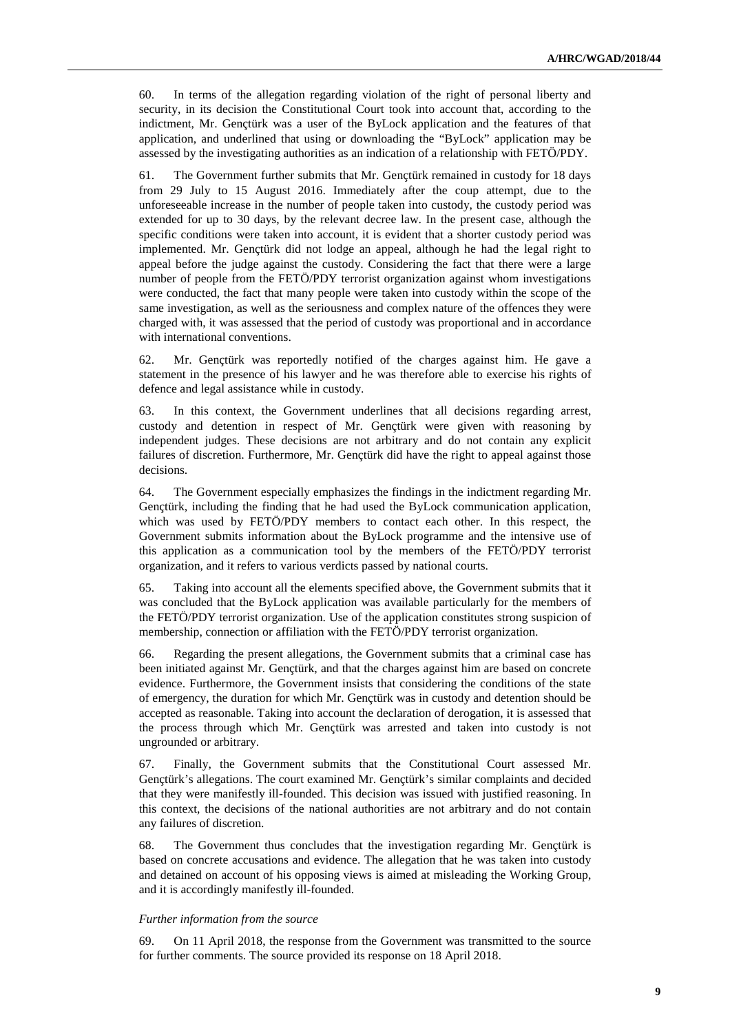60. In terms of the allegation regarding violation of the right of personal liberty and security, in its decision the Constitutional Court took into account that, according to the indictment, Mr. Gençtürk was a user of the ByLock application and the features of that application, and underlined that using or downloading the "ByLock" application may be assessed by the investigating authorities as an indication of a relationship with FETÖ/PDY.

61. The Government further submits that Mr. Gençtürk remained in custody for 18 days from 29 July to 15 August 2016. Immediately after the coup attempt, due to the unforeseeable increase in the number of people taken into custody, the custody period was extended for up to 30 days, by the relevant decree law. In the present case, although the specific conditions were taken into account, it is evident that a shorter custody period was implemented. Mr. Gençtürk did not lodge an appeal, although he had the legal right to appeal before the judge against the custody. Considering the fact that there were a large number of people from the FETÖ/PDY terrorist organization against whom investigations were conducted, the fact that many people were taken into custody within the scope of the same investigation, as well as the seriousness and complex nature of the offences they were charged with, it was assessed that the period of custody was proportional and in accordance with international conventions.

62. Mr. Gençtürk was reportedly notified of the charges against him. He gave a statement in the presence of his lawyer and he was therefore able to exercise his rights of defence and legal assistance while in custody.

63. In this context, the Government underlines that all decisions regarding arrest, custody and detention in respect of Mr. Gençtürk were given with reasoning by independent judges. These decisions are not arbitrary and do not contain any explicit failures of discretion. Furthermore, Mr. Gençtürk did have the right to appeal against those decisions.

64. The Government especially emphasizes the findings in the indictment regarding Mr. Gençtürk, including the finding that he had used the ByLock communication application, which was used by FETÖ/PDY members to contact each other. In this respect, the Government submits information about the ByLock programme and the intensive use of this application as a communication tool by the members of the FETÖ/PDY terrorist organization, and it refers to various verdicts passed by national courts.

65. Taking into account all the elements specified above, the Government submits that it was concluded that the ByLock application was available particularly for the members of the FETÖ/PDY terrorist organization. Use of the application constitutes strong suspicion of membership, connection or affiliation with the FETÖ/PDY terrorist organization.

66. Regarding the present allegations, the Government submits that a criminal case has been initiated against Mr. Gençtürk, and that the charges against him are based on concrete evidence. Furthermore, the Government insists that considering the conditions of the state of emergency, the duration for which Mr. Gençtürk was in custody and detention should be accepted as reasonable. Taking into account the declaration of derogation, it is assessed that the process through which Mr. Gençtürk was arrested and taken into custody is not ungrounded or arbitrary.

67. Finally, the Government submits that the Constitutional Court assessed Mr. Gençtürk's allegations. The court examined Mr. Gençtürk's similar complaints and decided that they were manifestly ill-founded. This decision was issued with justified reasoning. In this context, the decisions of the national authorities are not arbitrary and do not contain any failures of discretion.

68. The Government thus concludes that the investigation regarding Mr. Gençtürk is based on concrete accusations and evidence. The allegation that he was taken into custody and detained on account of his opposing views is aimed at misleading the Working Group, and it is accordingly manifestly ill-founded.

#### *Further information from the source*

69. On 11 April 2018, the response from the Government was transmitted to the source for further comments. The source provided its response on 18 April 2018.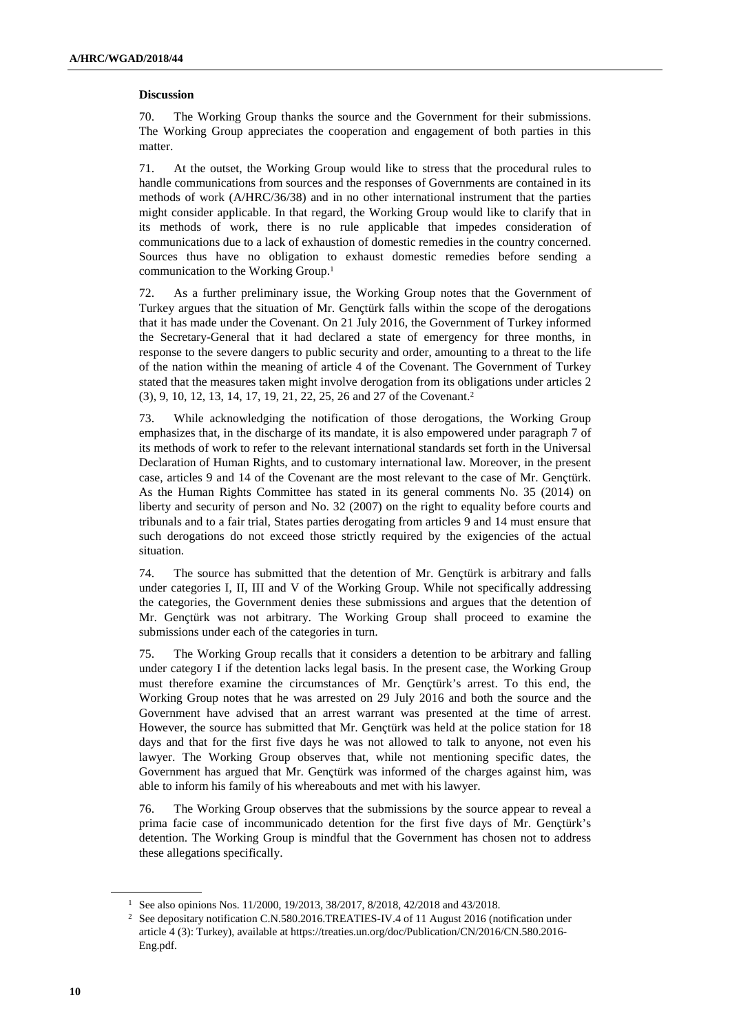#### **Discussion**

70. The Working Group thanks the source and the Government for their submissions. The Working Group appreciates the cooperation and engagement of both parties in this matter.

71. At the outset, the Working Group would like to stress that the procedural rules to handle communications from sources and the responses of Governments are contained in its methods of work (A/HRC/36/38) and in no other international instrument that the parties might consider applicable. In that regard, the Working Group would like to clarify that in its methods of work, there is no rule applicable that impedes consideration of communications due to a lack of exhaustion of domestic remedies in the country concerned. Sources thus have no obligation to exhaust domestic remedies before sending a communication to the Working Group.<sup>1</sup>

72. As a further preliminary issue, the Working Group notes that the Government of Turkey argues that the situation of Mr. Gençtürk falls within the scope of the derogations that it has made under the Covenant. On 21 July 2016, the Government of Turkey informed the Secretary-General that it had declared a state of emergency for three months, in response to the severe dangers to public security and order, amounting to a threat to the life of the nation within the meaning of article 4 of the Covenant. The Government of Turkey stated that the measures taken might involve derogation from its obligations under articles 2 (3), 9, 10, 12, 13, 14, 17, 19, 21, 22, 25, 26 and 27 of the Covenant.<sup>2</sup>

73. While acknowledging the notification of those derogations, the Working Group emphasizes that, in the discharge of its mandate, it is also empowered under paragraph 7 of its methods of work to refer to the relevant international standards set forth in the Universal Declaration of Human Rights, and to customary international law. Moreover, in the present case, articles 9 and 14 of the Covenant are the most relevant to the case of Mr. Gençtürk. As the Human Rights Committee has stated in its general comments No. 35 (2014) on liberty and security of person and No. 32 (2007) on the right to equality before courts and tribunals and to a fair trial, States parties derogating from articles 9 and 14 must ensure that such derogations do not exceed those strictly required by the exigencies of the actual situation.

74. The source has submitted that the detention of Mr. Gençtürk is arbitrary and falls under categories I, II, III and V of the Working Group. While not specifically addressing the categories, the Government denies these submissions and argues that the detention of Mr. Gençtürk was not arbitrary. The Working Group shall proceed to examine the submissions under each of the categories in turn.

75. The Working Group recalls that it considers a detention to be arbitrary and falling under category I if the detention lacks legal basis. In the present case, the Working Group must therefore examine the circumstances of Mr. Gençtürk's arrest. To this end, the Working Group notes that he was arrested on 29 July 2016 and both the source and the Government have advised that an arrest warrant was presented at the time of arrest. However, the source has submitted that Mr. Gençtürk was held at the police station for 18 days and that for the first five days he was not allowed to talk to anyone, not even his lawyer. The Working Group observes that, while not mentioning specific dates, the Government has argued that Mr. Gençtürk was informed of the charges against him, was able to inform his family of his whereabouts and met with his lawyer.

76. The Working Group observes that the submissions by the source appear to reveal a prima facie case of incommunicado detention for the first five days of Mr. Gençtürk's detention. The Working Group is mindful that the Government has chosen not to address these allegations specifically.

<sup>&</sup>lt;sup>1</sup> See also opinions Nos. 11/2000, 19/2013, 38/2017, 8/2018, 42/2018 and 43/2018.

<sup>2</sup> See depositary notification C.N.580.2016.TREATIES-IV.4 of 11 August 2016 (notification under article 4 (3): Turkey), available at https://treaties.un.org/doc/Publication/CN/2016/CN.580.2016- Eng.pdf.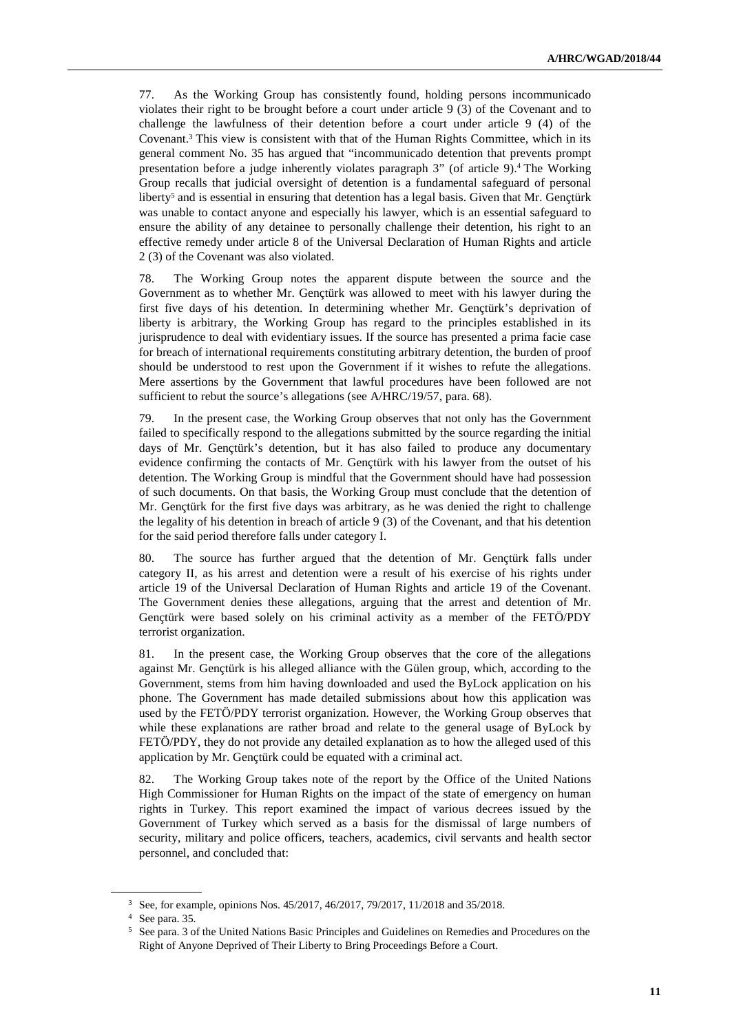77. As the Working Group has consistently found, holding persons incommunicado violates their right to be brought before a court under article 9 (3) of the Covenant and to challenge the lawfulness of their detention before a court under article 9 (4) of the Covenant.<sup>3</sup> This view is consistent with that of the Human Rights Committee, which in its general comment No. 35 has argued that "incommunicado detention that prevents prompt presentation before a judge inherently violates paragraph 3" (of article 9).<sup>4</sup> The Working Group recalls that judicial oversight of detention is a fundamental safeguard of personal liberty<sup>5</sup> and is essential in ensuring that detention has a legal basis. Given that Mr. Gençtürk was unable to contact anyone and especially his lawyer, which is an essential safeguard to ensure the ability of any detainee to personally challenge their detention, his right to an effective remedy under article 8 of the Universal Declaration of Human Rights and article 2 (3) of the Covenant was also violated.

78. The Working Group notes the apparent dispute between the source and the Government as to whether Mr. Gençtürk was allowed to meet with his lawyer during the first five days of his detention. In determining whether Mr. Gençtürk's deprivation of liberty is arbitrary, the Working Group has regard to the principles established in its jurisprudence to deal with evidentiary issues. If the source has presented a prima facie case for breach of international requirements constituting arbitrary detention, the burden of proof should be understood to rest upon the Government if it wishes to refute the allegations. Mere assertions by the Government that lawful procedures have been followed are not sufficient to rebut the source's allegations (see A/HRC/19/57, para. 68).

79. In the present case, the Working Group observes that not only has the Government failed to specifically respond to the allegations submitted by the source regarding the initial days of Mr. Gençtürk's detention, but it has also failed to produce any documentary evidence confirming the contacts of Mr. Gençtürk with his lawyer from the outset of his detention. The Working Group is mindful that the Government should have had possession of such documents. On that basis, the Working Group must conclude that the detention of Mr. Gençtürk for the first five days was arbitrary, as he was denied the right to challenge the legality of his detention in breach of article 9 (3) of the Covenant, and that his detention for the said period therefore falls under category I.

80. The source has further argued that the detention of Mr. Gençtürk falls under category II, as his arrest and detention were a result of his exercise of his rights under article 19 of the Universal Declaration of Human Rights and article 19 of the Covenant. The Government denies these allegations, arguing that the arrest and detention of Mr. Gençtürk were based solely on his criminal activity as a member of the FETÖ/PDY terrorist organization.

81. In the present case, the Working Group observes that the core of the allegations against Mr. Gençtürk is his alleged alliance with the Gülen group, which, according to the Government, stems from him having downloaded and used the ByLock application on his phone. The Government has made detailed submissions about how this application was used by the FETÖ/PDY terrorist organization. However, the Working Group observes that while these explanations are rather broad and relate to the general usage of ByLock by FETÖ/PDY, they do not provide any detailed explanation as to how the alleged used of this application by Mr. Gençtürk could be equated with a criminal act.

82. The Working Group takes note of the report by the Office of the United Nations High Commissioner for Human Rights on the impact of the state of emergency on human rights in Turkey. This report examined the impact of various decrees issued by the Government of Turkey which served as a basis for the dismissal of large numbers of security, military and police officers, teachers, academics, civil servants and health sector personnel, and concluded that:

<sup>3</sup> See, for example, opinions Nos. 45/2017, 46/2017, 79/2017, 11/2018 and 35/2018.

<sup>4</sup> See para. 35.

<sup>5</sup> See para. 3 of the United Nations Basic Principles and Guidelines on Remedies and Procedures on the Right of Anyone Deprived of Their Liberty to Bring Proceedings Before a Court.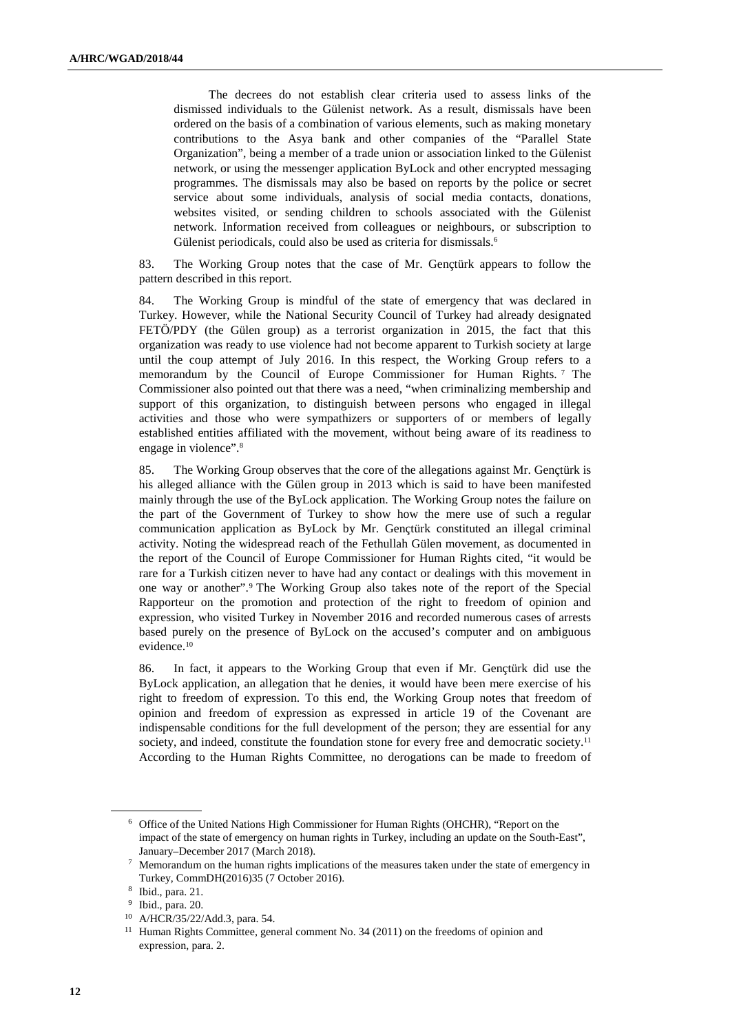The decrees do not establish clear criteria used to assess links of the dismissed individuals to the Gülenist network. As a result, dismissals have been ordered on the basis of a combination of various elements, such as making monetary contributions to the Asya bank and other companies of the "Parallel State Organization", being a member of a trade union or association linked to the Gülenist network, or using the messenger application ByLock and other encrypted messaging programmes. The dismissals may also be based on reports by the police or secret service about some individuals, analysis of social media contacts, donations, websites visited, or sending children to schools associated with the Gülenist network. Information received from colleagues or neighbours, or subscription to Gülenist periodicals, could also be used as criteria for dismissals.<sup>6</sup>

83. The Working Group notes that the case of Mr. Gençtürk appears to follow the pattern described in this report.

84. The Working Group is mindful of the state of emergency that was declared in Turkey. However, while the National Security Council of Turkey had already designated FETÖ/PDY (the Gülen group) as a terrorist organization in 2015, the fact that this organization was ready to use violence had not become apparent to Turkish society at large until the coup attempt of July 2016. In this respect, the Working Group refers to a memorandum by the Council of Europe Commissioner for Human Rights. <sup>7</sup> The Commissioner also pointed out that there was a need, "when criminalizing membership and support of this organization, to distinguish between persons who engaged in illegal activities and those who were sympathizers or supporters of or members of legally established entities affiliated with the movement, without being aware of its readiness to engage in violence".<sup>8</sup>

85. The Working Group observes that the core of the allegations against Mr. Gençtürk is his alleged alliance with the Gülen group in 2013 which is said to have been manifested mainly through the use of the ByLock application. The Working Group notes the failure on the part of the Government of Turkey to show how the mere use of such a regular communication application as ByLock by Mr. Gençtürk constituted an illegal criminal activity. Noting the widespread reach of the Fethullah Gülen movement, as documented in the report of the Council of Europe Commissioner for Human Rights cited, "it would be rare for a Turkish citizen never to have had any contact or dealings with this movement in one way or another".<sup>9</sup> The Working Group also takes note of the report of the Special Rapporteur on the promotion and protection of the right to freedom of opinion and expression, who visited Turkey in November 2016 and recorded numerous cases of arrests based purely on the presence of ByLock on the accused's computer and on ambiguous evidence.<sup>10</sup>

86. In fact, it appears to the Working Group that even if Mr. Gençtürk did use the ByLock application, an allegation that he denies, it would have been mere exercise of his right to freedom of expression. To this end, the Working Group notes that freedom of opinion and freedom of expression as expressed in article 19 of the Covenant are indispensable conditions for the full development of the person; they are essential for any society, and indeed, constitute the foundation stone for every free and democratic society.<sup>11</sup> According to the Human Rights Committee, no derogations can be made to freedom of

<sup>6</sup> Office of the United Nations High Commissioner for Human Rights (OHCHR), "Report on the impact of the state of emergency on human rights in Turkey, including an update on the South-East", January–December 2017 (March 2018).

 $\frac{7}{10}$  Memorandum on the human rights implications of the measures taken under the state of emergency in Turkey, CommDH(2016)35 (7 October 2016).

<sup>8</sup> Ibid., para. 21.

<sup>9</sup> Ibid., para. 20.

<sup>10</sup> A/HCR/35/22/Add.3, para. 54.

<sup>&</sup>lt;sup>11</sup> Human Rights Committee, general comment No. 34 (2011) on the freedoms of opinion and expression, para. 2.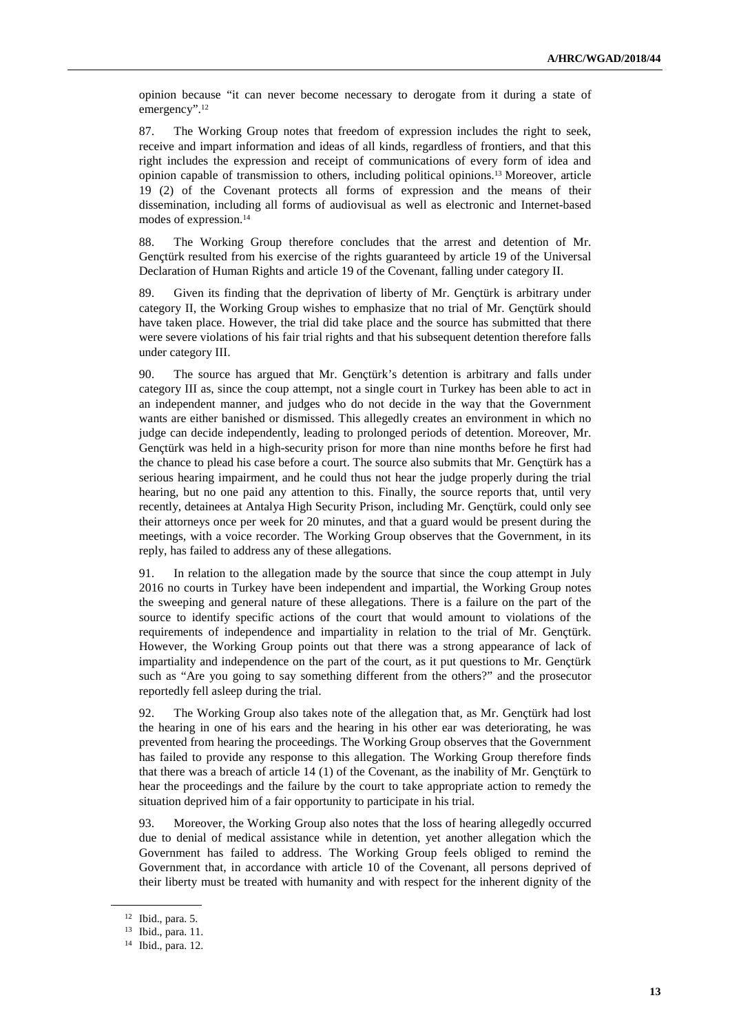opinion because "it can never become necessary to derogate from it during a state of emergency".<sup>12</sup>

87. The Working Group notes that freedom of expression includes the right to seek, receive and impart information and ideas of all kinds, regardless of frontiers, and that this right includes the expression and receipt of communications of every form of idea and opinion capable of transmission to others, including political opinions.13 Moreover, article 19 (2) of the Covenant protects all forms of expression and the means of their dissemination, including all forms of audiovisual as well as electronic and Internet-based modes of expression.<sup>14</sup>

88. The Working Group therefore concludes that the arrest and detention of Mr. Gençtürk resulted from his exercise of the rights guaranteed by article 19 of the Universal Declaration of Human Rights and article 19 of the Covenant, falling under category II.

89. Given its finding that the deprivation of liberty of Mr. Gençtürk is arbitrary under category II, the Working Group wishes to emphasize that no trial of Mr. Gençtürk should have taken place. However, the trial did take place and the source has submitted that there were severe violations of his fair trial rights and that his subsequent detention therefore falls under category III.

90. The source has argued that Mr. Gençtürk's detention is arbitrary and falls under category III as, since the coup attempt, not a single court in Turkey has been able to act in an independent manner, and judges who do not decide in the way that the Government wants are either banished or dismissed. This allegedly creates an environment in which no judge can decide independently, leading to prolonged periods of detention. Moreover, Mr. Gençtürk was held in a high-security prison for more than nine months before he first had the chance to plead his case before a court. The source also submits that Mr. Gençtürk has a serious hearing impairment, and he could thus not hear the judge properly during the trial hearing, but no one paid any attention to this. Finally, the source reports that, until very recently, detainees at Antalya High Security Prison, including Mr. Gençtürk, could only see their attorneys once per week for 20 minutes, and that a guard would be present during the meetings, with a voice recorder. The Working Group observes that the Government, in its reply, has failed to address any of these allegations.

91. In relation to the allegation made by the source that since the coup attempt in July 2016 no courts in Turkey have been independent and impartial, the Working Group notes the sweeping and general nature of these allegations. There is a failure on the part of the source to identify specific actions of the court that would amount to violations of the requirements of independence and impartiality in relation to the trial of Mr. Gençtürk. However, the Working Group points out that there was a strong appearance of lack of impartiality and independence on the part of the court, as it put questions to Mr. Gençtürk such as "Are you going to say something different from the others?" and the prosecutor reportedly fell asleep during the trial.

92. The Working Group also takes note of the allegation that, as Mr. Gençtürk had lost the hearing in one of his ears and the hearing in his other ear was deteriorating, he was prevented from hearing the proceedings. The Working Group observes that the Government has failed to provide any response to this allegation. The Working Group therefore finds that there was a breach of article 14 (1) of the Covenant, as the inability of Mr. Gençtürk to hear the proceedings and the failure by the court to take appropriate action to remedy the situation deprived him of a fair opportunity to participate in his trial.

93. Moreover, the Working Group also notes that the loss of hearing allegedly occurred due to denial of medical assistance while in detention, yet another allegation which the Government has failed to address. The Working Group feels obliged to remind the Government that, in accordance with article 10 of the Covenant, all persons deprived of their liberty must be treated with humanity and with respect for the inherent dignity of the

<sup>12</sup> Ibid., para. 5.

<sup>13</sup> Ibid., para. 11.

<sup>14</sup> Ibid., para. 12.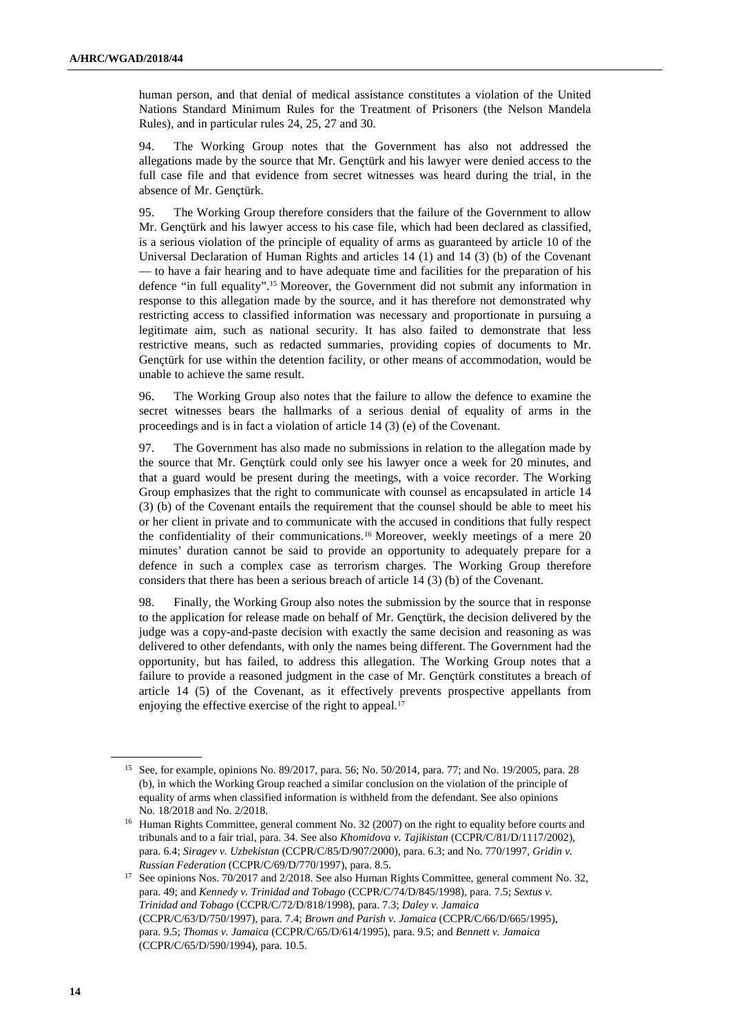human person, and that denial of medical assistance constitutes a violation of the United Nations Standard Minimum Rules for the Treatment of Prisoners (the Nelson Mandela Rules), and in particular rules 24, 25, 27 and 30.

94. The Working Group notes that the Government has also not addressed the allegations made by the source that Mr. Gençtürk and his lawyer were denied access to the full case file and that evidence from secret witnesses was heard during the trial, in the absence of Mr. Gençtürk.

95. The Working Group therefore considers that the failure of the Government to allow Mr. Gençtürk and his lawyer access to his case file, which had been declared as classified, is a serious violation of the principle of equality of arms as guaranteed by article 10 of the Universal Declaration of Human Rights and articles 14 (1) and 14 (3) (b) of the Covenant — to have a fair hearing and to have adequate time and facilities for the preparation of his defence "in full equality".15 Moreover, the Government did not submit any information in response to this allegation made by the source, and it has therefore not demonstrated why restricting access to classified information was necessary and proportionate in pursuing a legitimate aim, such as national security. It has also failed to demonstrate that less restrictive means, such as redacted summaries, providing copies of documents to Mr. Gençtürk for use within the detention facility, or other means of accommodation, would be unable to achieve the same result.

96. The Working Group also notes that the failure to allow the defence to examine the secret witnesses bears the hallmarks of a serious denial of equality of arms in the proceedings and is in fact a violation of article 14 (3) (e) of the Covenant.

97. The Government has also made no submissions in relation to the allegation made by the source that Mr. Gençtürk could only see his lawyer once a week for 20 minutes, and that a guard would be present during the meetings, with a voice recorder. The Working Group emphasizes that the right to communicate with counsel as encapsulated in article 14 (3) (b) of the Covenant entails the requirement that the counsel should be able to meet his or her client in private and to communicate with the accused in conditions that fully respect the confidentiality of their communications.16 Moreover, weekly meetings of a mere 20 minutes' duration cannot be said to provide an opportunity to adequately prepare for a defence in such a complex case as terrorism charges. The Working Group therefore considers that there has been a serious breach of article 14 (3) (b) of the Covenant.

98. Finally, the Working Group also notes the submission by the source that in response to the application for release made on behalf of Mr. Gençtürk, the decision delivered by the judge was a copy-and-paste decision with exactly the same decision and reasoning as was delivered to other defendants, with only the names being different. The Government had the opportunity, but has failed, to address this allegation. The Working Group notes that a failure to provide a reasoned judgment in the case of Mr. Gençtürk constitutes a breach of article 14 (5) of the Covenant, as it effectively prevents prospective appellants from enjoying the effective exercise of the right to appeal.<sup>17</sup>

<sup>15</sup> See, for example, opinions No. 89/2017, para. 56; No. 50/2014, para. 77; and No. 19/2005, para. 28 (b), in which the Working Group reached a similar conclusion on the violation of the principle of equality of arms when classified information is withheld from the defendant. See also opinions No. 18/2018 and No. 2/2018.

<sup>&</sup>lt;sup>16</sup> Human Rights Committee, general comment No. 32 (2007) on the right to equality before courts and tribunals and to a fair trial, para. 34. See also *Khomidova v. Tajikistan* (CCPR/C/81/D/1117/2002), para. 6.4; *Siragev v. Uzbekistan* (CCPR/C/85/D/907/2000), para. 6.3; and No. 770/1997, *Gridin v. Russian Federation* (CCPR/C/69/D/770/1997), para. 8.5.

<sup>&</sup>lt;sup>17</sup> See opinions Nos. 70/2017 and 2/2018. See also Human Rights Committee, general comment No. 32, para. 49; and *Kennedy v. Trinidad and Tobago* (CCPR/C/74/D/845/1998), para. 7.5; *Sextus v. Trinidad and Tobago* (CCPR/C/72/D/818/1998), para. 7.3; *Daley v. Jamaica* (CCPR/C/63/D/750/1997), para. 7.4; *Brown and Parish v. Jamaica* (CCPR/C/66/D/665/1995), para. 9.5; *Thomas v. Jamaica* (CCPR/C/65/D/614/1995), para. 9.5; and *Bennett v. Jamaica* (CCPR/C/65/D/590/1994), para. 10.5.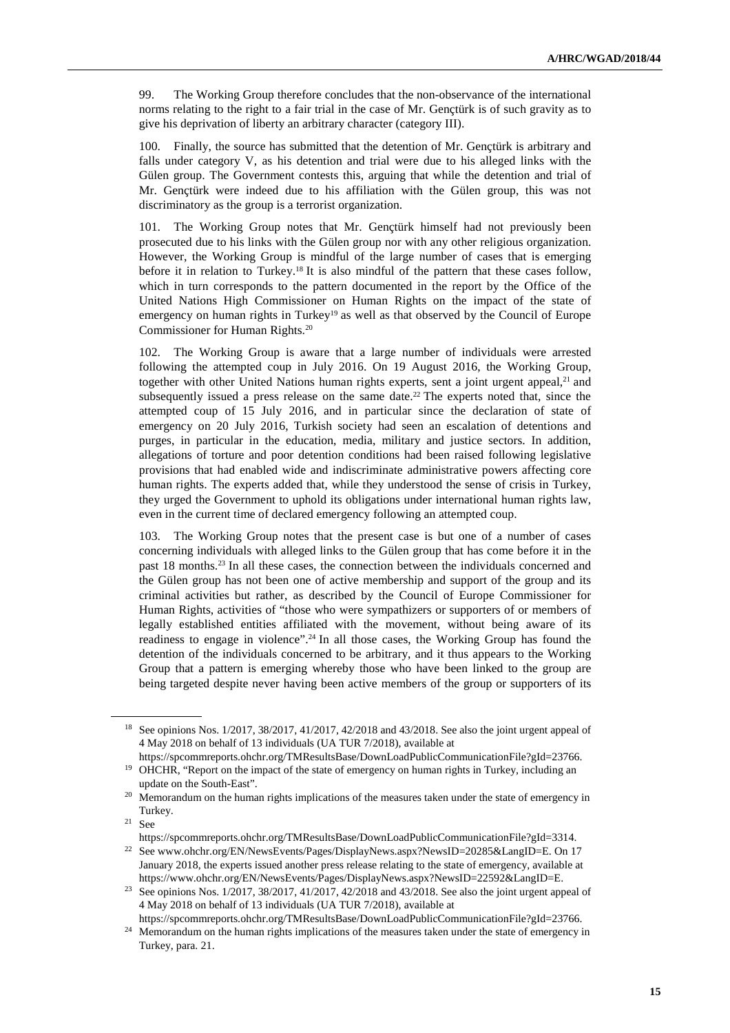99. The Working Group therefore concludes that the non-observance of the international norms relating to the right to a fair trial in the case of Mr. Gençtürk is of such gravity as to give his deprivation of liberty an arbitrary character (category III).

100. Finally, the source has submitted that the detention of Mr. Gençtürk is arbitrary and falls under category V, as his detention and trial were due to his alleged links with the Gülen group. The Government contests this, arguing that while the detention and trial of Mr. Gençtürk were indeed due to his affiliation with the Gülen group, this was not discriminatory as the group is a terrorist organization.

101. The Working Group notes that Mr. Gençtürk himself had not previously been prosecuted due to his links with the Gülen group nor with any other religious organization. However, the Working Group is mindful of the large number of cases that is emerging before it in relation to Turkey.18 It is also mindful of the pattern that these cases follow, which in turn corresponds to the pattern documented in the report by the Office of the United Nations High Commissioner on Human Rights on the impact of the state of emergency on human rights in Turkey<sup>19</sup> as well as that observed by the Council of Europe Commissioner for Human Rights.<sup>20</sup>

102. The Working Group is aware that a large number of individuals were arrested following the attempted coup in July 2016. On 19 August 2016, the Working Group, together with other United Nations human rights experts, sent a joint urgent appeal,<sup>21</sup> and subsequently issued a press release on the same date.<sup>22</sup> The experts noted that, since the attempted coup of 15 July 2016, and in particular since the declaration of state of emergency on 20 July 2016, Turkish society had seen an escalation of detentions and purges, in particular in the education, media, military and justice sectors. In addition, allegations of torture and poor detention conditions had been raised following legislative provisions that had enabled wide and indiscriminate administrative powers affecting core human rights. The experts added that, while they understood the sense of crisis in Turkey, they urged the Government to uphold its obligations under international human rights law, even in the current time of declared emergency following an attempted coup.

103. The Working Group notes that the present case is but one of a number of cases concerning individuals with alleged links to the Gülen group that has come before it in the past 18 months.23 In all these cases, the connection between the individuals concerned and the Gülen group has not been one of active membership and support of the group and its criminal activities but rather, as described by the Council of Europe Commissioner for Human Rights, activities of "those who were sympathizers or supporters of or members of legally established entities affiliated with the movement, without being aware of its readiness to engage in violence".24 In all those cases, the Working Group has found the detention of the individuals concerned to be arbitrary, and it thus appears to the Working Group that a pattern is emerging whereby those who have been linked to the group are being targeted despite never having been active members of the group or supporters of its

<sup>18</sup> See opinions Nos. 1/2017, 38/2017, 41/2017, 42/2018 and 43/2018. See also the joint urgent appeal of 4 May 2018 on behalf of 13 individuals (UA TUR 7/2018), available at

https://spcommreports.ohchr.org/TMResultsBase/DownLoadPublicCommunicationFile?gId=23766. <sup>19</sup> OHCHR, "Report on the impact of the state of emergency on human rights in Turkey, including an

update on the South-East".

<sup>&</sup>lt;sup>20</sup> Memorandum on the human rights implications of the measures taken under the state of emergency in Turkey.

 $21$  See

https://spcommreports.ohchr.org/TMResultsBase/DownLoadPublicCommunicationFile?gId=3314.

<sup>&</sup>lt;sup>22</sup> See www.ohchr.org/EN/NewsEvents/Pages/DisplayNews.aspx?NewsID=20285&LangID=E. On 17 January 2018, the experts issued another press release relating to the state of emergency, available at https://www.ohchr.org/EN/NewsEvents/Pages/DisplayNews.aspx?NewsID=22592&LangID=E.

<sup>&</sup>lt;sup>23</sup> See opinions Nos. 1/2017, 38/2017, 41/2017, 42/2018 and 43/2018. See also the joint urgent appeal of 4 May 2018 on behalf of 13 individuals (UA TUR 7/2018), available at

https://spcommreports.ohchr.org/TMResultsBase/DownLoadPublicCommunicationFile?gId=23766.

<sup>&</sup>lt;sup>24</sup> Memorandum on the human rights implications of the measures taken under the state of emergency in Turkey, para. 21.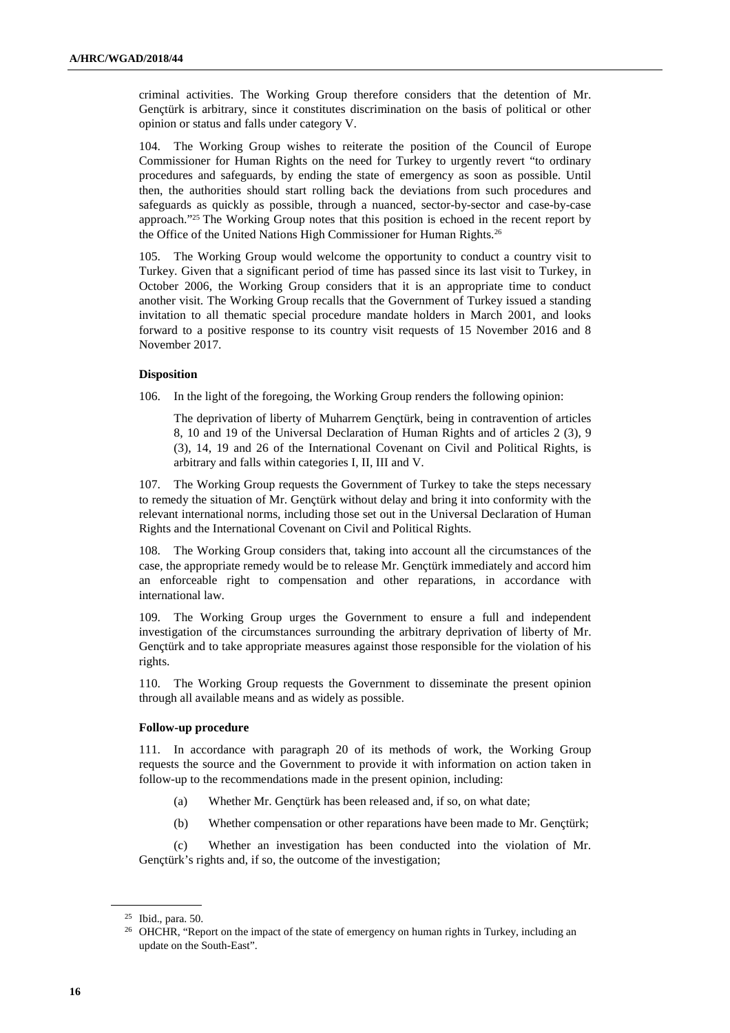criminal activities. The Working Group therefore considers that the detention of Mr. Gençtürk is arbitrary, since it constitutes discrimination on the basis of political or other opinion or status and falls under category V.

104. The Working Group wishes to reiterate the position of the Council of Europe Commissioner for Human Rights on the need for Turkey to urgently revert "to ordinary procedures and safeguards, by ending the state of emergency as soon as possible. Until then, the authorities should start rolling back the deviations from such procedures and safeguards as quickly as possible, through a nuanced, sector-by-sector and case-by-case approach."25 The Working Group notes that this position is echoed in the recent report by the Office of the United Nations High Commissioner for Human Rights.<sup>26</sup>

105. The Working Group would welcome the opportunity to conduct a country visit to Turkey. Given that a significant period of time has passed since its last visit to Turkey, in October 2006, the Working Group considers that it is an appropriate time to conduct another visit. The Working Group recalls that the Government of Turkey issued a standing invitation to all thematic special procedure mandate holders in March 2001, and looks forward to a positive response to its country visit requests of 15 November 2016 and 8 November 2017.

#### **Disposition**

106. In the light of the foregoing, the Working Group renders the following opinion:

The deprivation of liberty of Muharrem Gençtürk, being in contravention of articles 8, 10 and 19 of the Universal Declaration of Human Rights and of articles 2 (3), 9 (3), 14, 19 and 26 of the International Covenant on Civil and Political Rights, is arbitrary and falls within categories I, II, III and V.

107. The Working Group requests the Government of Turkey to take the steps necessary to remedy the situation of Mr. Gençtürk without delay and bring it into conformity with the relevant international norms, including those set out in the Universal Declaration of Human Rights and the International Covenant on Civil and Political Rights.

The Working Group considers that, taking into account all the circumstances of the case, the appropriate remedy would be to release Mr. Gençtürk immediately and accord him an enforceable right to compensation and other reparations, in accordance with international law.

109. The Working Group urges the Government to ensure a full and independent investigation of the circumstances surrounding the arbitrary deprivation of liberty of Mr. Gençtürk and to take appropriate measures against those responsible for the violation of his rights.

110. The Working Group requests the Government to disseminate the present opinion through all available means and as widely as possible.

#### **Follow-up procedure**

111. In accordance with paragraph 20 of its methods of work, the Working Group requests the source and the Government to provide it with information on action taken in follow-up to the recommendations made in the present opinion, including:

- (a) Whether Mr. Gençtürk has been released and, if so, on what date;
- (b) Whether compensation or other reparations have been made to Mr. Gençtürk;

 (c) Whether an investigation has been conducted into the violation of Mr. Gençtürk's rights and, if so, the outcome of the investigation;

<sup>25</sup> Ibid., para. 50.

<sup>&</sup>lt;sup>26</sup> OHCHR, "Report on the impact of the state of emergency on human rights in Turkey, including an update on the South-East".